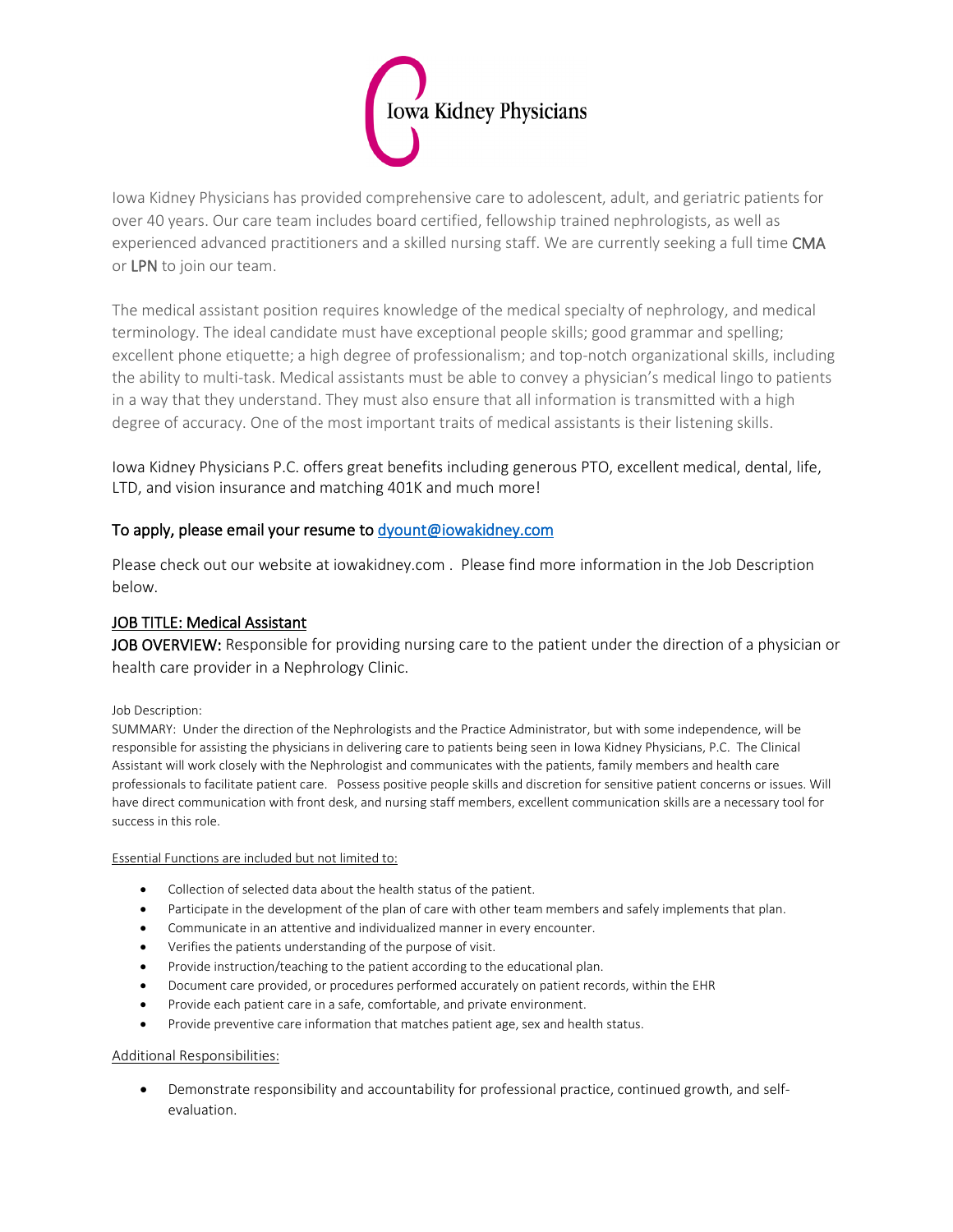

Iowa Kidney Physicians has provided comprehensive care to adolescent, adult, and geriatric patients for over 40 years. Our care team includes board certified, fellowship trained nephrologists, as well as experienced advanced practitioners and a skilled nursing staff. We are currently seeking a full time CMA or LPN to join our team.

The medical assistant position requires knowledge of the medical specialty of nephrology, and medical terminology. The ideal candidate must have exceptional people skills; good grammar and spelling; excellent phone etiquette; a high degree of professionalism; and top-notch organizational skills, including the ability to multi-task. Medical assistants must be able to convey a physician's medical lingo to patients in a way that they understand. They must also ensure that all information is transmitted with a high degree of accuracy. One of the most important traits of medical assistants is their listening skills.

Iowa Kidney Physicians P.C. offers great benefits including generous PTO, excellent medical, dental, life, LTD, and vision insurance and matching 401K and much more!

# To apply, please email your resume to dyount@iowakidney.com

Please check out our website at iowakidney.com . Please find more information in the Job Description below.

# JOB TITLE: Medical Assistant

JOB OVERVIEW: Responsible for providing nursing care to the patient under the direction of a physician or health care provider in a Nephrology Clinic.

## Job Description:

SUMMARY: Under the direction of the Nephrologists and the Practice Administrator, but with some independence, will be responsible for assisting the physicians in delivering care to patients being seen in Iowa Kidney Physicians, P.C. The Clinical Assistant will work closely with the Nephrologist and communicates with the patients, family members and health care professionals to facilitate patient care. Possess positive people skills and discretion for sensitive patient concerns or issues. Will have direct communication with front desk, and nursing staff members, excellent communication skills are a necessary tool for success in this role.

Essential Functions are included but not limited to:

- Collection of selected data about the health status of the patient.
- Participate in the development of the plan of care with other team members and safely implements that plan.
- Communicate in an attentive and individualized manner in every encounter.
- Verifies the patients understanding of the purpose of visit.
- Provide instruction/teaching to the patient according to the educational plan.
- Document care provided, or procedures performed accurately on patient records, within the EHR
- Provide each patient care in a safe, comfortable, and private environment.
- Provide preventive care information that matches patient age, sex and health status.

## Additional Responsibilities:

• Demonstrate responsibility and accountability for professional practice, continued growth, and selfevaluation.